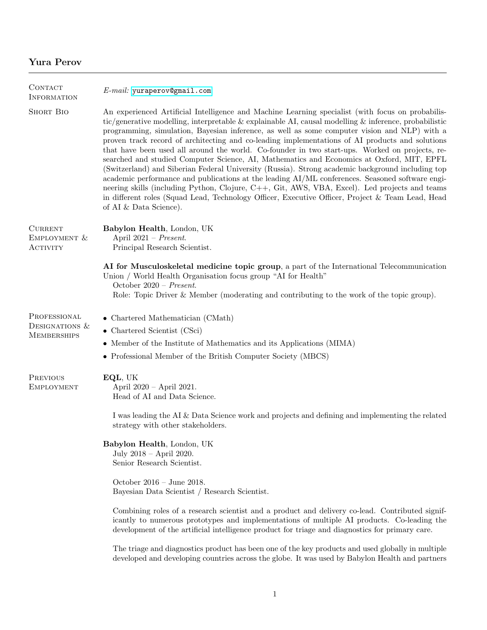# Yura Perov

| CONTACT<br><b>INFORMATION</b>                          | $E$ -mail: yuraperov@gmail.com                                                                                                                                                                                                                                                                                                                                                                                                                                                                                                                                                                                                                                                                                                                                                                                                                                                                                                                                                                                                                        |
|--------------------------------------------------------|-------------------------------------------------------------------------------------------------------------------------------------------------------------------------------------------------------------------------------------------------------------------------------------------------------------------------------------------------------------------------------------------------------------------------------------------------------------------------------------------------------------------------------------------------------------------------------------------------------------------------------------------------------------------------------------------------------------------------------------------------------------------------------------------------------------------------------------------------------------------------------------------------------------------------------------------------------------------------------------------------------------------------------------------------------|
| <b>SHORT BIO</b>                                       | An experienced Artificial Intelligence and Machine Learning specialist (with focus on probabilis-<br>tic/generative modelling, interpretable & explainable AI, causal modelling $\&$ inference, probabilistic<br>programming, simulation, Bayesian inference, as well as some computer vision and NLP) with a<br>proven track record of architecting and co-leading implementations of AI products and solutions<br>that have been used all around the world. Co-founder in two start-ups. Worked on projects, re-<br>searched and studied Computer Science, AI, Mathematics and Economics at Oxford, MIT, EPFL<br>(Switzerland) and Siberian Federal University (Russia). Strong academic background including top<br>academic performance and publications at the leading AI/ML conferences. Seasoned software engi-<br>neering skills (including Python, Clojure, C++, Git, AWS, VBA, Excel). Led projects and teams<br>in different roles (Squad Lead, Technology Officer, Executive Officer, Project & Team Lead, Head<br>of AI & Data Science). |
| <b>CURRENT</b><br>EMPLOYMENT &<br><b>ACTIVITY</b>      | Babylon Health, London, UK<br>April $2021$ – Present.<br>Principal Research Scientist.                                                                                                                                                                                                                                                                                                                                                                                                                                                                                                                                                                                                                                                                                                                                                                                                                                                                                                                                                                |
|                                                        | AI for Musculoskeletal medicine topic group, a part of the International Telecommunication<br>Union / World Health Organisation focus group "AI for Health"<br>October 2020 - Present.<br>Role: Topic Driver & Member (moderating and contributing to the work of the topic group).                                                                                                                                                                                                                                                                                                                                                                                                                                                                                                                                                                                                                                                                                                                                                                   |
| PROFESSIONAL<br>DESIGNATIONS $&$<br><b>MEMBERSHIPS</b> | $\bullet$ Chartered Mathematician (CMath)<br>$\bullet$ Chartered Scientist (CSci)<br>• Member of the Institute of Mathematics and its Applications (MIMA)<br>• Professional Member of the British Computer Society (MBCS)                                                                                                                                                                                                                                                                                                                                                                                                                                                                                                                                                                                                                                                                                                                                                                                                                             |
| <b>PREVIOUS</b><br><b>EMPLOYMENT</b>                   | EQL, UK<br>April 2020 - April 2021.<br>Head of AI and Data Science.                                                                                                                                                                                                                                                                                                                                                                                                                                                                                                                                                                                                                                                                                                                                                                                                                                                                                                                                                                                   |
|                                                        | I was leading the AI & Data Science work and projects and defining and implementing the related<br>strategy with other stakeholders.                                                                                                                                                                                                                                                                                                                                                                                                                                                                                                                                                                                                                                                                                                                                                                                                                                                                                                                  |
|                                                        | Babylon Health, London, UK<br>July 2018 - April 2020.<br>Senior Research Scientist.                                                                                                                                                                                                                                                                                                                                                                                                                                                                                                                                                                                                                                                                                                                                                                                                                                                                                                                                                                   |
|                                                        | October 2016 – June 2018.<br>Bayesian Data Scientist / Research Scientist.                                                                                                                                                                                                                                                                                                                                                                                                                                                                                                                                                                                                                                                                                                                                                                                                                                                                                                                                                                            |
|                                                        | Combining roles of a research scientist and a product and delivery co-lead. Contributed signif-<br>icantly to numerous prototypes and implementations of multiple AI products. Co-leading the<br>development of the artificial intelligence product for triage and diagnostics for primary care.                                                                                                                                                                                                                                                                                                                                                                                                                                                                                                                                                                                                                                                                                                                                                      |
|                                                        | The triage and diagnostics product has been one of the key products and used globally in multiple<br>developed and developing countries across the globe. It was used by Babylon Health and partners                                                                                                                                                                                                                                                                                                                                                                                                                                                                                                                                                                                                                                                                                                                                                                                                                                                  |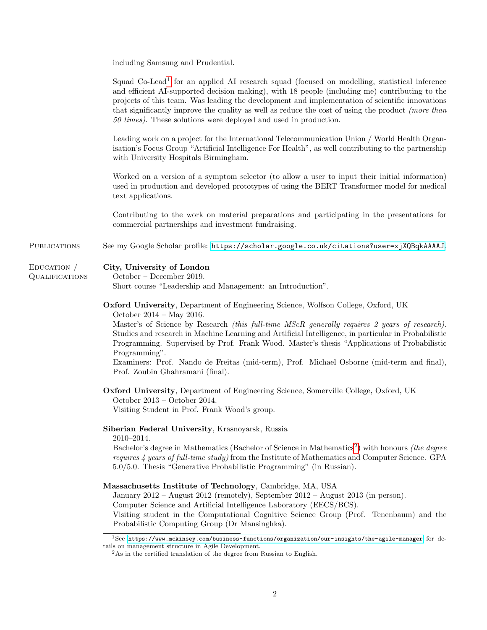including Samsung and Prudential.

Squad Co-Lead<sup>[1](#page-1-0)</sup> for an applied AI research squad (focused on modelling, statistical inference and efficient AI-supported decision making), with 18 people (including me) contributing to the projects of this team. Was leading the development and implementation of scientific innovations that significantly improve the quality as well as reduce the cost of using the product (more than 50 times). These solutions were deployed and used in production.

Leading work on a project for the International Telecommunication Union / World Health Organisation's Focus Group "Artificial Intelligence For Health", as well contributing to the partnership with University Hospitals Birmingham.

Worked on a version of a symptom selector (to allow a user to input their initial information) used in production and developed prototypes of using the BERT Transformer model for medical text applications.

Contributing to the work on material preparations and participating in the presentations for commercial partnerships and investment fundraising.

PUBLICATIONS See my Google Scholar profile: <https://scholar.google.co.uk/citations?user=xjXQBqkAAAAJ>.

#### Education / City, University of London

**QUALIFICATIONS** 

October – December 2019.

Short course "Leadership and Management: an Introduction".

Oxford University, Department of Engineering Science, Wolfson College, Oxford, UK

October 2014 – May 2016.

Master's of Science by Research *(this full-time MScR generally requires 2 years of research)*. Studies and research in Machine Learning and Artificial Intelligence, in particular in Probabilistic Programming. Supervised by Prof. Frank Wood. Master's thesis "Applications of Probabilistic Programming".

Examiners: Prof. Nando de Freitas (mid-term), Prof. Michael Osborne (mid-term and final), Prof. Zoubin Ghahramani (final).

Oxford University, Department of Engineering Science, Somerville College, Oxford, UK October 2013 – October 2014. Visiting Student in Prof. Frank Wood's group.

### Siberian Federal University, Krasnoyarsk, Russia

2010–2014.

Bachelor's degree in Mathematics (Bachelor of Science in Mathematics<sup>[2](#page-1-1)</sup>) with honours *(the degree* requires 4 years of full-time study) from the Institute of Mathematics and Computer Science. GPA 5.0/5.0. Thesis "Generative Probabilistic Programming" (in Russian).

#### Massachusetts Institute of Technology, Cambridge, MA, USA

January 2012 – August 2012 (remotely), September 2012 – August 2013 (in person).

Computer Science and Artificial Intelligence Laboratory (EECS/BCS).

Visiting student in the Computational Cognitive Science Group (Prof. Tenenbaum) and the Probabilistic Computing Group (Dr Mansinghka).

<span id="page-1-0"></span> $1$ See <https://www.mckinsey.com/business-functions/organization/our-insights/the-agile-manager> for details on management structure in Agile Development.

<span id="page-1-1"></span> $^2\mathrm{As}$  in the certified translation of the degree from Russian to English.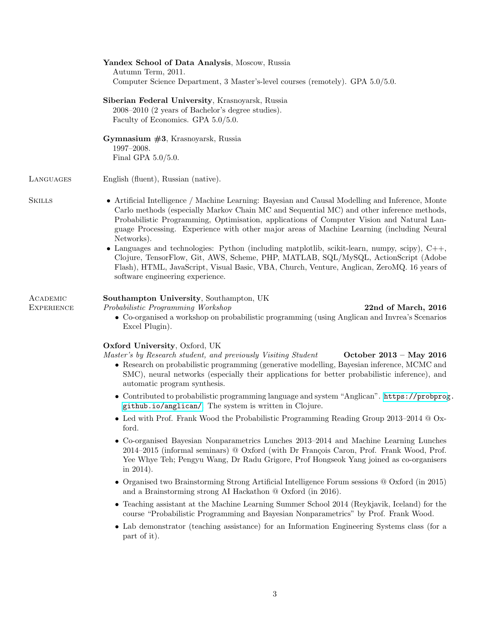|                        | Yandex School of Data Analysis, Moscow, Russia<br>Autumn Term, 2011.<br>Computer Science Department, 3 Master's-level courses (remotely). GPA 5.0/5.0.                                                                                                                                                                                                                                                |
|------------------------|-------------------------------------------------------------------------------------------------------------------------------------------------------------------------------------------------------------------------------------------------------------------------------------------------------------------------------------------------------------------------------------------------------|
|                        | Siberian Federal University, Krasnoyarsk, Russia<br>2008–2010 (2 years of Bachelor's degree studies).<br>Faculty of Economics. GPA 5.0/5.0.                                                                                                                                                                                                                                                           |
|                        | Gymnasium $#3$ , Krasnoyarsk, Russia<br>1997-2008.<br>Final GPA $5.0/5.0$ .                                                                                                                                                                                                                                                                                                                           |
| LANGUAGES              | English (fluent), Russian (native).                                                                                                                                                                                                                                                                                                                                                                   |
| <b>SKILLS</b>          | • Artificial Intelligence / Machine Learning: Bayesian and Causal Modelling and Inference, Monte<br>Carlo methods (especially Markov Chain MC and Sequential MC) and other inference methods,<br>Probabilistic Programming, Optimisation, applications of Computer Vision and Natural Lan-<br>guage Processing. Experience with other major areas of Machine Learning (including Neural<br>Networks). |
|                        | • Languages and technologies: Python (including matplotlib, scikit-learn, numpy, scipy), $C++,$<br>Clojure, TensorFlow, Git, AWS, Scheme, PHP, MATLAB, SQL/MySQL, ActionScript (Adobe<br>Flash), HTML, JavaScript, Visual Basic, VBA, Church, Venture, Anglican, ZeroMQ. 16 years of<br>software engineering experience.                                                                              |
| ACADEMIC<br>EXPERIENCE | Southampton University, Southampton, UK<br>Probabilistic Programming Workshop<br>22nd of March, 2016<br>• Co-organised a workshop on probabilistic programming (using Anglican and Invrea's Scenarios<br>Excel Plugin).                                                                                                                                                                               |
|                        | Oxford University, Oxford, UK<br>Master's by Research student, and previously Visiting Student<br>October 2013 – May 2016<br>• Research on probabilistic programming (generative modelling, Bayesian inference, MCMC and<br>SMC), neural networks (especially their applications for better probabilistic inference), and<br>automatic program synthesis.                                             |
|                        | • Contributed to probabilistic programming language and system "Anglican". https://probprog.<br>github.io/anglican/. The system is written in Clojure.                                                                                                                                                                                                                                                |
|                        | • Led with Prof. Frank Wood the Probabilistic Programming Reading Group $2013-2014$ @ Ox-<br>ford.                                                                                                                                                                                                                                                                                                    |
|                        | • Co-organised Bayesian Nonparametrics Lunches 2013–2014 and Machine Learning Lunches<br>2014–2015 (informal seminars) @ Oxford (with Dr François Caron, Prof. Frank Wood, Prof.<br>Yee Whye Teh; Pengyu Wang, Dr Radu Grigore, Prof Hongseok Yang joined as co-organisers<br>in $2014$ ).                                                                                                            |
|                        | • Organised two Brainstorming Strong Artificial Intelligence Forum sessions $@$ Oxford (in 2015)<br>and a Brainstorming strong AI Hackathon $@$ Oxford (in 2016).                                                                                                                                                                                                                                     |
|                        | • Teaching assistant at the Machine Learning Summer School 2014 (Reykjavik, Iceland) for the<br>course "Probabilistic Programming and Bayesian Nonparametrics" by Prof. Frank Wood.                                                                                                                                                                                                                   |
|                        | • Lab demonstrator (teaching assistance) for an Information Engineering Systems class (for a<br>part of it).                                                                                                                                                                                                                                                                                          |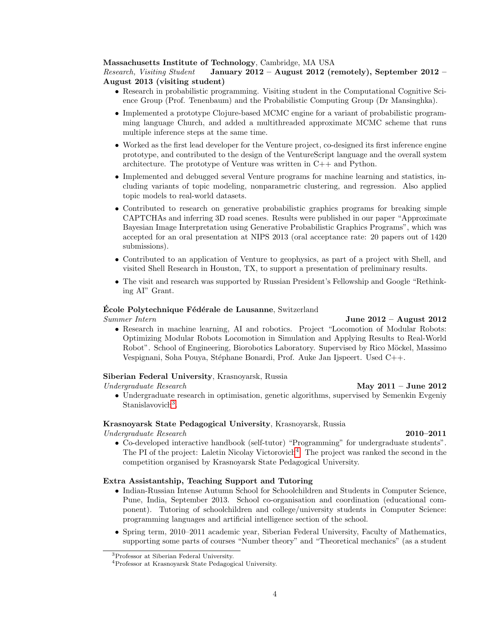#### Massachusetts Institute of Technology, Cambridge, MA USA

#### Research, Visiting Student January 2012 – August 2012 (remotely), September 2012 – August 2013 (visiting student)

- Research in probabilistic programming. Visiting student in the Computational Cognitive Science Group (Prof. Tenenbaum) and the Probabilistic Computing Group (Dr Mansinghka).
- Implemented a prototype Clojure-based MCMC engine for a variant of probabilistic programming language Church, and added a multithreaded approximate MCMC scheme that runs multiple inference steps at the same time.
- Worked as the first lead developer for the Venture project, co-designed its first inference engine prototype, and contributed to the design of the VentureScript language and the overall system architecture. The prototype of Venture was written in C++ and Python.
- Implemented and debugged several Venture programs for machine learning and statistics, including variants of topic modeling, nonparametric clustering, and regression. Also applied topic models to real-world datasets.
- Contributed to research on generative probabilistic graphics programs for breaking simple CAPTCHAs and inferring 3D road scenes. Results were published in our paper "Approximate Bayesian Image Interpretation using Generative Probabilistic Graphics Programs", which was accepted for an oral presentation at NIPS 2013 (oral acceptance rate: 20 papers out of 1420 submissions).
- Contributed to an application of Venture to geophysics, as part of a project with Shell, and visited Shell Research in Houston, TX, to support a presentation of preliminary results.
- The visit and research was supported by Russian President's Fellowship and Google "Rethinking AI" Grant.

#### Ecole Polytechnique Fédérale de Lausanne, Switzerland

#### Summer Intern June 2012 – August 2012

• Research in machine learning, AI and robotics. Project "Locomotion of Modular Robots: Optimizing Modular Robots Locomotion in Simulation and Applying Results to Real-World Robot". School of Engineering, Biorobotics Laboratory. Supervised by Rico Möckel, Massimo Vespignani, Soha Pouya, Stéphane Bonardi, Prof. Auke Jan Ijspeert. Used C++.

#### Siberian Federal University, Krasnoyarsk, Russia

#### Undergraduate Research May 2011 – June 2012

• Undergraduate research in optimisation, genetic algorithms, supervised by Semenkin Evgeniy Stanislavovich<sup>[3](#page-3-0)</sup>.

#### Krasnoyarsk State Pedagogical University, Krasnoyarsk, Russia

### Undergraduate Research 2010–2011

• Co-developed interactive handbook (self-tutor) "Programming" for undergraduate students". The PI of the project: Laletin Nicolay Victorovich<sup>[4](#page-3-1)</sup>. The project was ranked the second in the competition organised by Krasnoyarsk State Pedagogical University.

### Extra Assistantship, Teaching Support and Tutoring

- Indian-Russian Intense Autumn School for Schoolchildren and Students in Computer Science, Pune, India, September 2013. School co-organisation and coordination (educational component). Tutoring of schoolchildren and college/university students in Computer Science: programming languages and artificial intelligence section of the school.
- Spring term, 2010–2011 academic year, Siberian Federal University, Faculty of Mathematics, supporting some parts of courses "Number theory" and "Theoretical mechanics" (as a student

<span id="page-3-0"></span><sup>3</sup>Professor at Siberian Federal University.

<span id="page-3-1"></span><sup>4</sup>Professor at Krasnoyarsk State Pedagogical University.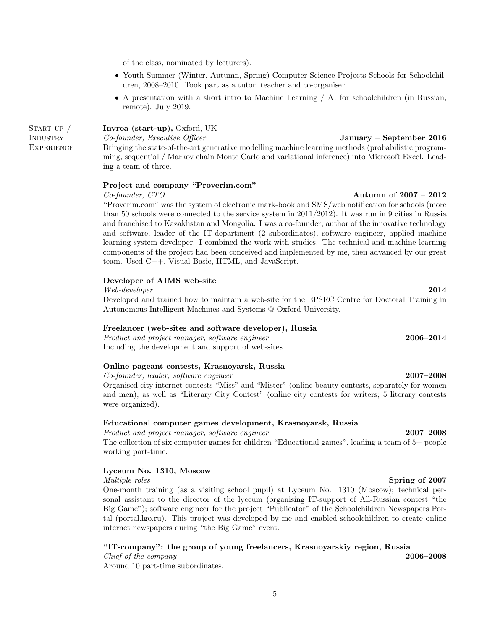of the class, nominated by lecturers).

- Youth Summer (Winter, Autumn, Spring) Computer Science Projects Schools for Schoolchildren, 2008–2010. Took part as a tutor, teacher and co-organiser.
- A presentation with a short intro to Machine Learning / AI for schoolchildren (in Russian, remote). July 2019.

Invrea (start-up), Oxford, UK

Co-founder, Executive Officer January – September 2016 Bringing the state-of-the-art generative modelling machine learning methods (probabilistic programming, sequential / Markov chain Monte Carlo and variational inference) into Microsoft Excel. Leading a team of three.

#### Project and company "Proverim.com"

Co-founder, CTO Autumn of 2007 – 2012

START-UP / **INDUSTRY EXPERIENCE** 

> "Proverim.com" was the system of electronic mark-book and SMS/web notification for schools (more than 50 schools were connected to the service system in 2011/2012). It was run in 9 cities in Russia and franchised to Kazakhstan and Mongolia. I was a co-founder, author of the innovative technology and software, leader of the IT-department (2 subordinates), software engineer, applied machine learning system developer. I combined the work with studies. The technical and machine learning components of the project had been conceived and implemented by me, then advanced by our great team. Used C++, Visual Basic, HTML, and JavaScript.

#### Developer of AIMS web-site

Web-developer 2014

Developed and trained how to maintain a web-site for the EPSRC Centre for Doctoral Training in Autonomous Intelligent Machines and Systems @ Oxford University.

#### Freelancer (web-sites and software developer), Russia

Product and project manager, software engineer 2006–2014 Including the development and support of web-sites.

### Online pageant contests, Krasnoyarsk, Russia

Co-founder, leader, software engineer 2007–2008

Organised city internet-contests "Miss" and "Mister" (online beauty contests, separately for women and men), as well as "Literary City Contest" (online city contests for writers; 5 literary contests were organized).

#### Educational computer games development, Krasnoyarsk, Russia

Product and project manager, software engineer 2007–2008 The collection of six computer games for children "Educational games", leading a team of 5+ people working part-time.

#### Lyceum No. 1310, Moscow

Multiple roles Spring of 2007 One-month training (as a visiting school pupil) at Lyceum No. 1310 (Moscow); technical personal assistant to the director of the lyceum (organising IT-support of All-Russian contest "the Big Game"); software engineer for the project "Publicator" of the Schoolchildren Newspapers Portal (portal.lgo.ru). This project was developed by me and enabled schoolchildren to create online internet newspapers during "the Big Game" event.

#### "IT-company": the group of young freelancers, Krasnoyarskiy region, Russia

Chief of the company 2006–2008 Around 10 part-time subordinates.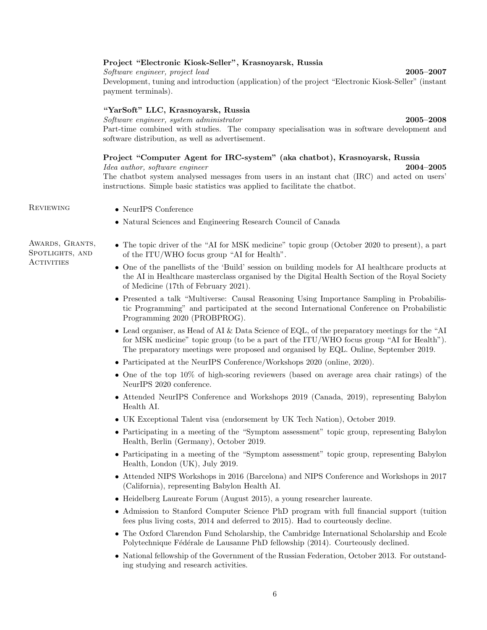#### Project "Electronic Kiosk-Seller", Krasnoyarsk, Russia

Software engineer, project lead 2005–2007 Development, tuning and introduction (application) of the project "Electronic Kiosk-Seller" (instant payment terminals).

### "YarSoft" LLC, Krasnoyarsk, Russia

Software engineer, system administrator 2005–2008 Part-time combined with studies. The company specialisation was in software development and software distribution, as well as advertisement.

## Project "Computer Agent for IRC-system" (aka chatbot), Krasnoyarsk, Russia

Idea author, software engineer 2004–2005 The chatbot system analysed messages from users in an instant chat (IRC) and acted on users' instructions. Simple basic statistics was applied to facilitate the chatbot.

Awards, Grants, Spotlights, and **ACTIVITIES** 

- REVIEWING NeurIPS Conference
	- Natural Sciences and Engineering Research Council of Canada
	- The topic driver of the "AI for MSK medicine" topic group (October 2020 to present), a part of the ITU/WHO focus group "AI for Health".
		- One of the panellists of the 'Build' session on building models for AI healthcare products at the AI in Healthcare masterclass organised by the Digital Health Section of the Royal Society of Medicine (17th of February 2021).
		- Presented a talk "Multiverse: Causal Reasoning Using Importance Sampling in Probabilistic Programming" and participated at the second International Conference on Probabilistic Programming 2020 (PROBPROG).
		- Lead organiser, as Head of AI & Data Science of EQL, of the preparatory meetings for the "AI for MSK medicine" topic group (to be a part of the ITU/WHO focus group "AI for Health"). The preparatory meetings were proposed and organised by EQL. Online, September 2019.
		- Participated at the NeurIPS Conference/Workshops 2020 (online, 2020).
		- One of the top 10% of high-scoring reviewers (based on average area chair ratings) of the NeurIPS 2020 conference.
		- Attended NeurIPS Conference and Workshops 2019 (Canada, 2019), representing Babylon Health AI.
		- UK Exceptional Talent visa (endorsement by UK Tech Nation), October 2019.
		- Participating in a meeting of the "Symptom assessment" topic group, representing Babylon Health, Berlin (Germany), October 2019.
		- Participating in a meeting of the "Symptom assessment" topic group, representing Babylon Health, London (UK), July 2019.
		- Attended NIPS Workshops in 2016 (Barcelona) and NIPS Conference and Workshops in 2017 (California), representing Babylon Health AI.
		- Heidelberg Laureate Forum (August 2015), a young researcher laureate.
		- Admission to Stanford Computer Science PhD program with full financial support (tuition fees plus living costs, 2014 and deferred to 2015). Had to courteously decline.
		- The Oxford Clarendon Fund Scholarship, the Cambridge International Scholarship and Ecole Polytechnique Fédérale de Lausanne PhD fellowship (2014). Courteously declined.
		- National fellowship of the Government of the Russian Federation, October 2013. For outstanding studying and research activities.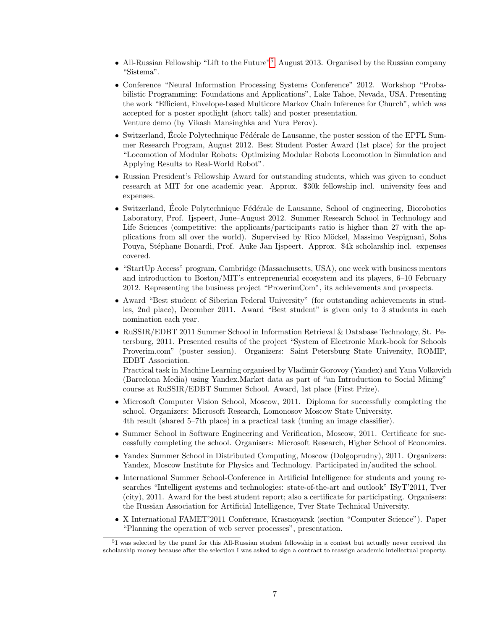- All-Russian Fellowship "Lift to the Future"<sup>[5](#page-6-0)</sup>, August 2013. Organised by the Russian company "Sistema".
- Conference "Neural Information Processing Systems Conference" 2012. Workshop "Probabilistic Programming: Foundations and Applications", Lake Tahoe, Nevada, USA. Presenting the work "Efficient, Envelope-based Multicore Markov Chain Inference for Church", which was accepted for a poster spotlight (short talk) and poster presentation. Venture demo (by Vikash Mansinghka and Yura Perov).
- Switzerland, École Polytechnique Fédérale de Lausanne, the poster session of the EPFL Summer Research Program, August 2012. Best Student Poster Award (1st place) for the project "Locomotion of Modular Robots: Optimizing Modular Robots Locomotion in Simulation and Applying Results to Real-World Robot".
- Russian President's Fellowship Award for outstanding students, which was given to conduct research at MIT for one academic year. Approx. \$30k fellowship incl. university fees and expenses.
- Switzerland, École Polytechnique Fédérale de Lausanne, School of engineering, Biorobotics Laboratory, Prof. Ijspeert, June–August 2012. Summer Research School in Technology and Life Sciences (competitive: the applicants/participants ratio is higher than 27 with the applications from all over the world). Supervised by Rico Möckel, Massimo Vespignani, Soha Pouya, Stéphane Bonardi, Prof. Auke Jan Ijspeert. Approx. \$4k scholarship incl. expenses covered.
- "StartUp Access" program, Cambridge (Massachusetts, USA), one week with business mentors and introduction to Boston/MIT's entrepreneurial ecosystem and its players, 6–10 February 2012. Representing the business project "ProverimCom", its achievements and prospects.
- Award "Best student of Siberian Federal University" (for outstanding achievements in studies, 2nd place), December 2011. Award "Best student" is given only to 3 students in each nomination each year.
- RuSSIR/EDBT 2011 Summer School in Information Retrieval & Database Technology, St. Petersburg, 2011. Presented results of the project "System of Electronic Mark-book for Schools Proverim.com" (poster session). Organizers: Saint Petersburg State University, ROMIP, EDBT Association.

Practical task in Machine Learning organised by Vladimir Gorovoy (Yandex) and Yana Volkovich (Barcelona Media) using Yandex.Market data as part of "an Introduction to Social Mining" course at RuSSIR/EDBT Summer School. Award, 1st place (First Prize).

- Microsoft Computer Vision School, Moscow, 2011. Diploma for successfully completing the school. Organizers: Microsoft Research, Lomonosov Moscow State University. 4th result (shared 5–7th place) in a practical task (tuning an image classifier).
- Summer School in Software Engineering and Verification, Moscow, 2011. Certificate for successfully completing the school. Organisers: Microsoft Research, Higher School of Economics.
- Yandex Summer School in Distributed Computing, Moscow (Dolgoprudny), 2011. Organizers: Yandex, Moscow Institute for Physics and Technology. Participated in/audited the school.
- International Summer School-Conference in Artificial Intelligence for students and young researches "Intelligent systems and technologies: state-of-the-art and outlook" ISyT'2011, Tver (city), 2011. Award for the best student report; also a certificate for participating. Organisers: the Russian Association for Artificial Intelligence, Tver State Technical University.
- X International FAMET'2011 Conference, Krasnoyarsk (section "Computer Science"). Paper "Planning the operation of web server processes", presentation.

<span id="page-6-0"></span><sup>&</sup>lt;sup>5</sup>I was selected by the panel for this All-Russian student fellowship in a contest but actually never received the scholarship money because after the selection I was asked to sign a contract to reassign academic intellectual property.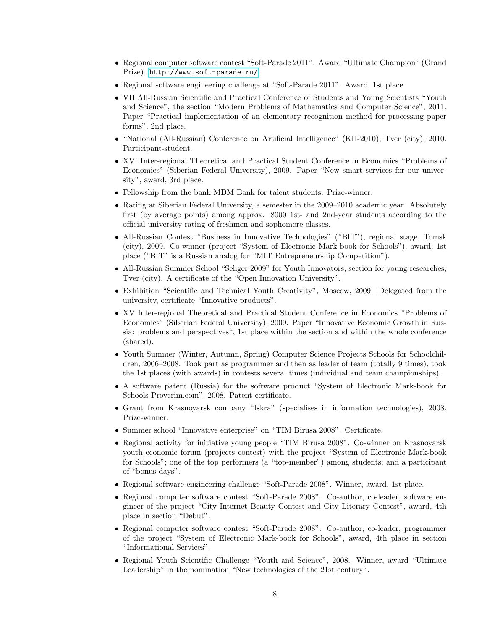- Regional computer software contest "Soft-Parade 2011". Award "Ultimate Champion" (Grand Prize). <http://www.soft-parade.ru/>.
- Regional software engineering challenge at "Soft-Parade 2011". Award, 1st place.
- VII All-Russian Scientific and Practical Conference of Students and Young Scientists "Youth and Science", the section "Modern Problems of Mathematics and Computer Science", 2011. Paper "Practical implementation of an elementary recognition method for processing paper forms", 2nd place.
- "National (All-Russian) Conference on Artificial Intelligence" (KII-2010), Tver (city), 2010. Participant-student.
- XVI Inter-regional Theoretical and Practical Student Conference in Economics "Problems of Economics" (Siberian Federal University), 2009. Paper "New smart services for our university", award, 3rd place.
- Fellowship from the bank MDM Bank for talent students. Prize-winner.
- Rating at Siberian Federal University, a semester in the 2009–2010 academic year. Absolutely first (by average points) among approx. 8000 1st- and 2nd-year students according to the official university rating of freshmen and sophomore classes.
- All-Russian Contest "Business in Innovative Technologies" ("BIT"), regional stage, Tomsk (city), 2009. Co-winner (project "System of Electronic Mark-book for Schools"), award, 1st place ("BIT" is a Russian analog for "MIT Entrepreneurship Competition").
- All-Russian Summer School "Seliger 2009" for Youth Innovators, section for young researches, Tver (city). A certificate of the "Open Innovation University".
- Exhibition "Scientific and Technical Youth Creativity", Moscow, 2009. Delegated from the university, certificate "Innovative products".
- XV Inter-regional Theoretical and Practical Student Conference in Economics "Problems of Economics" (Siberian Federal University), 2009. Paper "Innovative Economic Growth in Russia: problems and perspectives", 1st place within the section and within the whole conference (shared).
- Youth Summer (Winter, Autumn, Spring) Computer Science Projects Schools for Schoolchildren, 2006–2008. Took part as programmer and then as leader of team (totally 9 times), took the 1st places (with awards) in contests several times (individual and team championships).
- A software patent (Russia) for the software product "System of Electronic Mark-book for Schools Proverim.com", 2008. Patent certificate.
- Grant from Krasnoyarsk company "Iskra" (specialises in information technologies), 2008. Prize-winner.
- Summer school "Innovative enterprise" on "TIM Birusa 2008". Certificate.
- Regional activity for initiative young people "TIM Birusa 2008". Co-winner on Krasnoyarsk youth economic forum (projects contest) with the project "System of Electronic Mark-book for Schools"; one of the top performers (a "top-member") among students; and a participant of "bonus days".
- Regional software engineering challenge "Soft-Parade 2008". Winner, award, 1st place.
- Regional computer software contest "Soft-Parade 2008". Co-author, co-leader, software engineer of the project "City Internet Beauty Contest and City Literary Contest", award, 4th place in section "Debut".
- Regional computer software contest "Soft-Parade 2008". Co-author, co-leader, programmer of the project "System of Electronic Mark-book for Schools", award, 4th place in section "Informational Services".
- Regional Youth Scientific Challenge "Youth and Science", 2008. Winner, award "Ultimate Leadership" in the nomination "New technologies of the 21st century".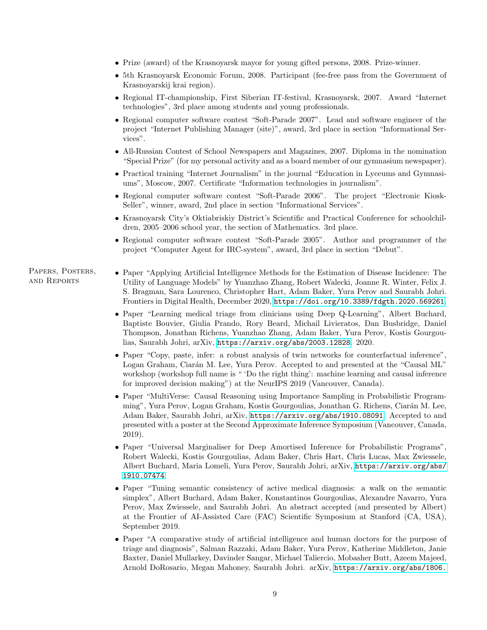- Prize (award) of the Krasnoyarsk mayor for young gifted persons, 2008. Prize-winner.
- 5th Krasnoyarsk Economic Forum, 2008. Participant (fee-free pass from the Government of Krasnoyarskij krai region).
- Regional IT-championship, First Siberian IT-festival, Krasnoyarsk, 2007. Award "Internet technologies", 3rd place among students and young professionals.
- Regional computer software contest "Soft-Parade 2007". Lead and software engineer of the project "Internet Publishing Manager (site)", award, 3rd place in section "Informational Services".
- All-Russian Contest of School Newspapers and Magazines, 2007. Diploma in the nomination "Special Prize" (for my personal activity and as a board member of our gymnasium newspaper).
- Practical training "Internet Journalism" in the journal "Education in Lyceums and Gymnasiums", Moscow, 2007. Certificate "Information technologies in journalism".
- Regional computer software contest "Soft-Parade 2006". The project "Electronic Kiosk-Seller", winner, award, 2nd place in section "Informational Services".
- Krasnoyarsk City's Oktiabriskiy District's Scientific and Practical Conference for schoolchildren, 2005–2006 school year, the section of Mathematics. 3rd place.
- Regional computer software contest "Soft-Parade 2005". Author and programmer of the project "Computer Agent for IRC-system", award, 3rd place in section "Debut".

#### Papers, Posters, and Reports

- Paper "Applying Artificial Intelligence Methods for the Estimation of Disease Incidence: The Utility of Language Models" by Yuanzhao Zhang, Robert Walecki, Joanne R. Winter, Felix J. S. Bragman, Sara Lourenco, Christopher Hart, Adam Baker, Yura Perov and Saurabh Johri. Frontiers in Digital Health, December 2020, <https://doi.org/10.3389/fdgth.2020.569261>.
- Paper "Learning medical triage from clinicians using Deep Q-Learning", Albert Buchard, Baptiste Bouvier, Giulia Prando, Rory Beard, Michail Livieratos, Dan Busbridge, Daniel Thompson, Jonathan Richens, Yuanzhao Zhang, Adam Baker, Yura Perov, Kostis Gourgoulias, Saurabh Johri, arXiv, <https://arxiv.org/abs/2003.12828>. 2020.
- Paper "Copy, paste, infer: a robust analysis of twin networks for counterfactual inference". Logan Graham, Ciarán M. Lee, Yura Perov. Accepted to and presented at the "Causal ML" workshop (workshop full name is " 'Do the right thing': machine learning and causal inference for improved decision making") at the NeurIPS 2019 (Vancouver, Canada).
- Paper "MultiVerse: Causal Reasoning using Importance Sampling in Probabilistic Programming", Yura Perov, Logan Graham, Kostis Gourgoulias, Jonathan G. Richens, Ciarán M. Lee, Adam Baker, Saurabh Johri, arXiv, <https://arxiv.org/abs/1910.08091>. Accepted to and presented with a poster at the Second Approximate Inference Symposium (Vancouver, Canada, 2019).
- Paper "Universal Marginaliser for Deep Amortised Inference for Probabilistic Programs", Robert Walecki, Kostis Gourgoulias, Adam Baker, Chris Hart, Chris Lucas, Max Zwiessele, Albert Buchard, Maria Lomeli, Yura Perov, Saurabh Johri, arXiv, [https://arxiv.org/abs/](https://arxiv.org/abs/1910.07474) [1910.07474](https://arxiv.org/abs/1910.07474).
- Paper "Tuning semantic consistency of active medical diagnosis: a walk on the semantic simplex", Albert Buchard, Adam Baker, Konstantinos Gourgoulias, Alexandre Navarro, Yura Perov, Max Zwiessele, and Saurabh Johri. An abstract accepted (and presented by Albert) at the Frontier of AI-Assisted Care (FAC) Scientific Symposium at Stanford (CA, USA), September 2019.
- Paper "A comparative study of artificial intelligence and human doctors for the purpose of triage and diagnosis", Salman Razzaki, Adam Baker, Yura Perov, Katherine Middleton, Janie Baxter, Daniel Mullarkey, Davinder Sangar, Michael Taliercio, Mobasher Butt, Azeem Majeed, Arnold DoRosario, Megan Mahoney, Saurabh Johri. arXiv, [https://arxiv.org/abs/1806.](https://arxiv.org/abs/1806.10698)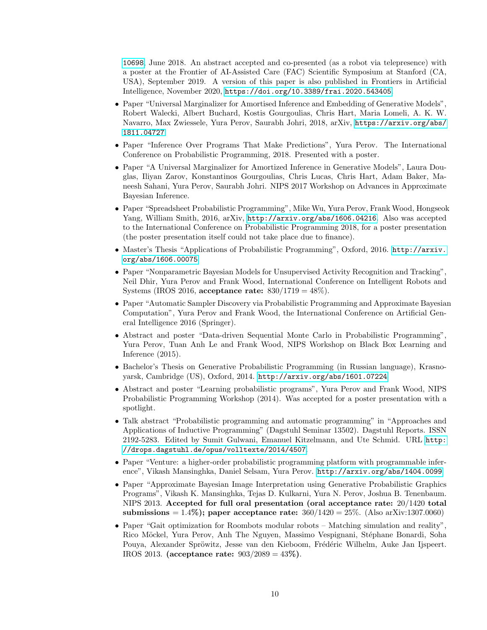[10698](https://arxiv.org/abs/1806.10698), June 2018. An abstract accepted and co-presented (as a robot via telepresence) with a poster at the Frontier of AI-Assisted Care (FAC) Scientific Symposium at Stanford (CA, USA), September 2019. A version of this paper is also published in Frontiers in Artificial Intelligence, November 2020, <https://doi.org/10.3389/frai.2020.543405>.

- Paper "Universal Marginalizer for Amortised Inference and Embedding of Generative Models", Robert Walecki, Albert Buchard, Kostis Gourgoulias, Chris Hart, Maria Lomeli, A. K. W. Navarro, Max Zwiessele, Yura Perov, Saurabh Johri, 2018, arXiv, [https://arxiv.org/abs/](https://arxiv.org/abs/1811.04727) [1811.04727](https://arxiv.org/abs/1811.04727).
- Paper "Inference Over Programs That Make Predictions", Yura Perov. The International Conference on Probabilistic Programming, 2018. Presented with a poster.
- Paper "A Universal Marginalizer for Amortized Inference in Generative Models", Laura Douglas, Iliyan Zarov, Konstantinos Gourgoulias, Chris Lucas, Chris Hart, Adam Baker, Maneesh Sahani, Yura Perov, Saurabh Johri. NIPS 2017 Workshop on Advances in Approximate Bayesian Inference.
- Paper "Spreadsheet Probabilistic Programming", Mike Wu, Yura Perov, Frank Wood, Hongseok Yang, William Smith, 2016, arXiv, <http://arxiv.org/abs/1606.04216>. Also was accepted to the International Conference on Probabilistic Programming 2018, for a poster presentation (the poster presentation itself could not take place due to finance).
- Master's Thesis "Applications of Probabilistic Programming", Oxford, 2016. [http://arxiv.](http://arxiv.org/abs/1606.00075) [org/abs/1606.00075](http://arxiv.org/abs/1606.00075)
- Paper "Nonparametric Bayesian Models for Unsupervised Activity Recognition and Tracking", Neil Dhir, Yura Perov and Frank Wood, International Conference on Intelligent Robots and Systems (IROS 2016, acceptance rate:  $830/1719 = 48\%$ ).
- Paper "Automatic Sampler Discovery via Probabilistic Programming and Approximate Bayesian Computation", Yura Perov and Frank Wood, the International Conference on Artificial General Intelligence 2016 (Springer).
- Abstract and poster "Data-driven Sequential Monte Carlo in Probabilistic Programming", Yura Perov, Tuan Anh Le and Frank Wood, NIPS Workshop on Black Box Learning and Inference (2015).
- Bachelor's Thesis on Generative Probabilistic Programming (in Russian language), Krasnoyarsk, Cambridge (US), Oxford, 2014. <http://arxiv.org/abs/1601.07224>
- Abstract and poster "Learning probabilistic programs", Yura Perov and Frank Wood, NIPS Probabilistic Programming Workshop (2014). Was accepted for a poster presentation with a spotlight.
- Talk abstract "Probabilistic programming and automatic programming" in "Approaches and Applications of Inductive Programming" (Dagstuhl Seminar 13502). Dagstuhl Reports. ISSN 2192-5283. Edited by Sumit Gulwani, Emanuel Kitzelmann, and Ute Schmid. URL [http:](http://drops.dagstuhl.de/opus/volltexte/2014/4507) [//drops.dagstuhl.de/opus/volltexte/2014/4507](http://drops.dagstuhl.de/opus/volltexte/2014/4507).
- Paper "Venture: a higher-order probabilistic programming platform with programmable inference", Vikash Mansinghka, Daniel Selsam, Yura Perov. <http://arxiv.org/abs/1404.0099>
- Paper "Approximate Bayesian Image Interpretation using Generative Probabilistic Graphics Programs", Vikash K. Mansinghka, Tejas D. Kulkarni, Yura N. Perov, Joshua B. Tenenbaum. NIPS 2013. Accepted for full oral presentation (oral acceptance rate: 20/1420 total submissions =  $1.4\%$ ); paper acceptance rate:  $360/1420 = 25\%$ . (Also arXiv:1307.0060)
- Paper "Gait optimization for Roombots modular robots Matching simulation and reality", Rico Möckel, Yura Perov, Anh The Nguyen, Massimo Vespignani, Stéphane Bonardi, Soha Pouya, Alexander Spröwitz, Jesse van den Kieboom, Frédéric Wilhelm, Auke Jan Ijspeert. IROS 2013. (acceptance rate: 903/2089 = 43%).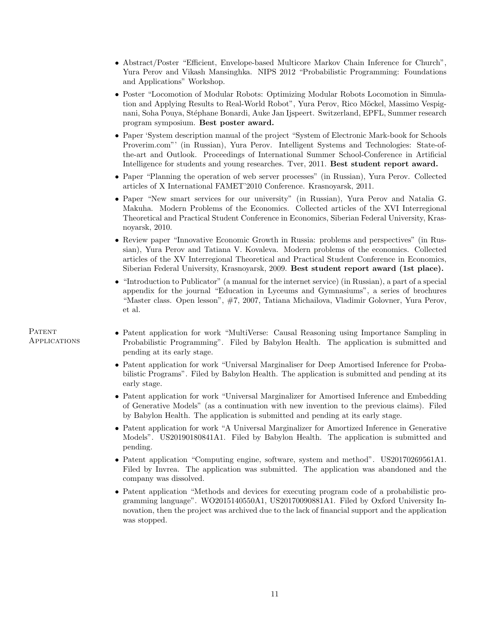- Abstract/Poster "Efficient, Envelope-based Multicore Markov Chain Inference for Church", Yura Perov and Vikash Mansinghka. NIPS 2012 "Probabilistic Programming: Foundations and Applications" Workshop.
- Poster "Locomotion of Modular Robots: Optimizing Modular Robots Locomotion in Simulation and Applying Results to Real-World Robot", Yura Perov, Rico Möckel, Massimo Vespignani, Soha Pouya, Stéphane Bonardi, Auke Jan Ijspeert. Switzerland, EPFL, Summer research program symposium. Best poster award.
- Paper 'System description manual of the project "System of Electronic Mark-book for Schools Proverim.com"' (in Russian), Yura Perov. Intelligent Systems and Technologies: State-ofthe-art and Outlook. Proceedings of International Summer School-Conference in Artificial Intelligence for students and young researches. Tver, 2011. Best student report award.
- Paper "Planning the operation of web server processes" (in Russian), Yura Perov. Collected articles of X International FAMET'2010 Conference. Krasnoyarsk, 2011.
- Paper "New smart services for our university" (in Russian), Yura Perov and Natalia G. Makuha. Modern Problems of the Economics. Collected articles of the XVI Interregional Theoretical and Practical Student Conference in Economics, Siberian Federal University, Krasnoyarsk, 2010.
- Review paper "Innovative Economic Growth in Russia: problems and perspectives" (in Russian), Yura Perov and Tatiana V. Kovaleva. Modern problems of the economics. Collected articles of the XV Interregional Theoretical and Practical Student Conference in Economics, Siberian Federal University, Krasnoyarsk, 2009. Best student report award (1st place).
- "Introduction to Publicator" (a manual for the internet service) (in Russian), a part of a special appendix for the journal "Education in Lyceums and Gymnasiums", a series of brochures "Master class. Open lesson", #7, 2007, Tatiana Michailova, Vladimir Golovner, Yura Perov, et al.
- Patent application for work "MultiVerse: Causal Reasoning using Importance Sampling in Probabilistic Programming". Filed by Babylon Health. The application is submitted and pending at its early stage.
	- Patent application for work "Universal Marginaliser for Deep Amortised Inference for Probabilistic Programs". Filed by Babylon Health. The application is submitted and pending at its early stage.
	- Patent application for work "Universal Marginalizer for Amortised Inference and Embedding of Generative Models" (as a continuation with new invention to the previous claims). Filed by Babylon Health. The application is submitted and pending at its early stage.
	- Patent application for work "A Universal Marginalizer for Amortized Inference in Generative Models". US20190180841A1. Filed by Babylon Health. The application is submitted and pending.
	- Patent application "Computing engine, software, system and method". US20170269561A1. Filed by Invrea. The application was submitted. The application was abandoned and the company was dissolved.
	- Patent application "Methods and devices for executing program code of a probabilistic programming language". WO2015140550A1, US20170090881A1. Filed by Oxford University Innovation, then the project was archived due to the lack of financial support and the application was stopped.

### PATENT Applications